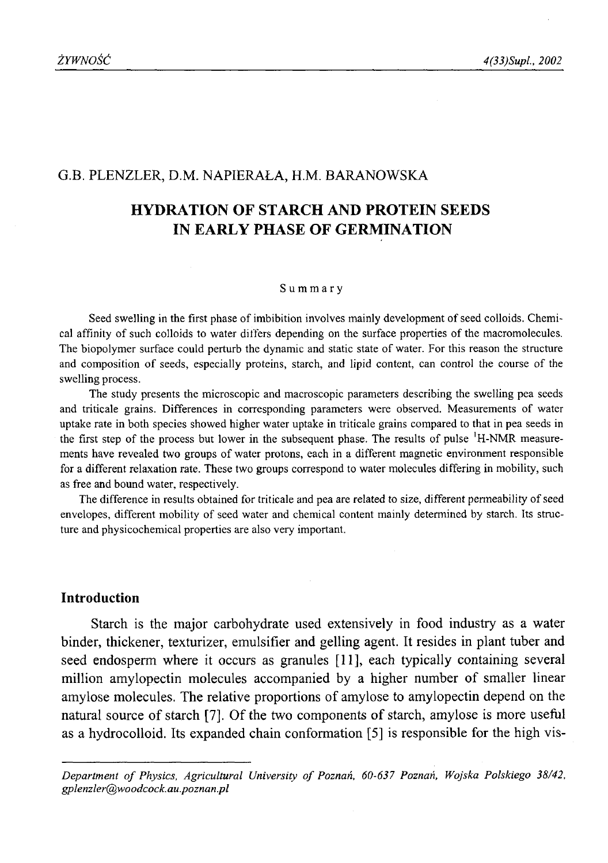## G.B. PLENZLER, D.M. NAPIERAŁA, H.M. BARANOWSKA

# **HYDRATION OF STARCH AND PROTEIN SEEDS IN EARLY PHASE OF GERMINATION**

#### **Summary**

Seed swelling in the first phase of imbibition involves mainly development of seed colloids. Chemical affinity of such colloids to water differs depending on the surface properties of the macromolecules. The biopolymer surface could perturb the dynamic and static state of water. For this reason the structure and composition of seeds, especially proteins, starch, and lipid content, can control the course of the swelling process.

The study presents the microscopic and macroscopic parameters describing the swelling pea seeds and triticale grains. Differences in corresponding parameters were observed. Measurements of water uptake rate in both species showed higher water uptake in triticale grains compared to that in pea seeds in the first step of the process but lower in the subsequent phase. The results of pulse 'H-NMR measurements have revealed two groups of water protons, each in a different magnetic environment responsible for a different relaxation rate. These two groups correspond to water molecules differing in mobility, such as free and bound water, respectively.

The difference in results obtained for triticale and pea are related to size, different permeability of seed envelopes, different mobility of seed water and chemical content mainly determined by starch. Its structure and physicochemical properties are also very important.

# **Introduction**

Starch is the major carbohydrate used extensively in food industry as a water binder, thickener, texturizer, emulsifier and gelling agent. It resides in plant tuber and seed endosperm where it occurs as granules [11], each typically containing several million amylopectin molecules accompanied by a higher number of smaller linear amylose molecules. The relative proportions of amylose to amylopectin depend on the natural source of starch [7]. Of the two components of starch, amylose is more useful as a hydrocolloid. Its expanded chain conformation [5] is responsible for the high vis-

Department of Physics, Agricultural University of Poznań, 60-637 Poznań, Wojska Polskiego 38/42, *gplenzler@woodcock. au.poznan.pl*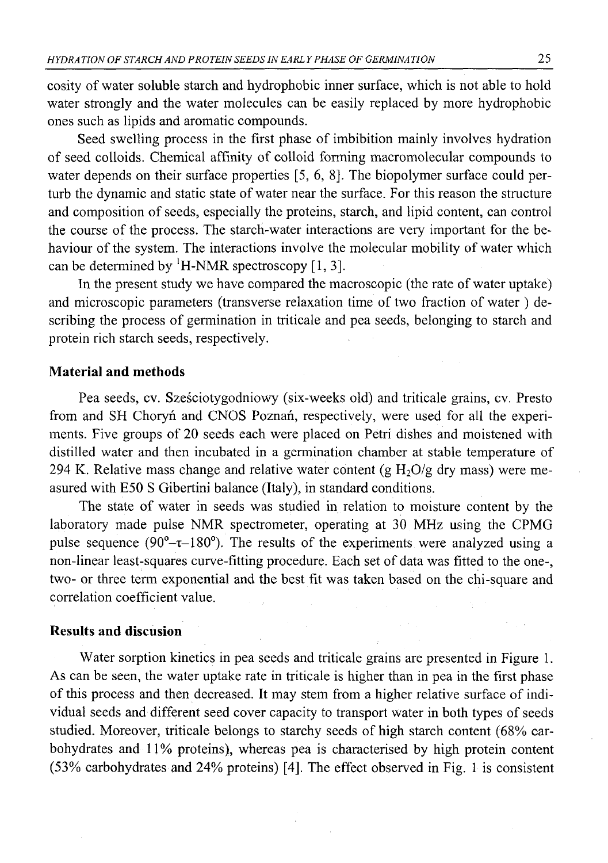cosity of water soluble starch and hydrophobic inner surface, which is not able to hold water strongly and the water molecules can be easily replaced by more hydrophobic ones such as lipids and aromatic compounds.

Seed swelling process in the first phase of imbibition mainly involves hydration of seed colloids. Chemical affinity of colloid forming macromolecular compounds to water depends on their surface properties [5, 6, 8]. The biopolymer surface could perturb the dynamic and static state of water near the surface. For this reason the structure and composition of seeds, especially the proteins, starch, and lipid content, can control the course of the process. The starch-water interactions are very important for the behaviour of the system. The interactions involve the molecular mobility of water which can be determined by  $^1$ H-NMR spectroscopy [1, 3].

In the present study we have compared the macroscopic (the rate of water uptake) and microscopic parameters (transverse relaxation time of two fraction of water ) describing the process of germination in triticale and pea seeds, belonging to starch and protein rich starch seeds, respectively.

## **Material and methods**

Pea seeds, cv. Sześciotygodniowy (six-weeks old) and triticale grains, cv. Presto from and SH Choryń and CNOS Poznań, respectively, were used for all the experiments. Five groups of 20 seeds each were placed on Petri dishes and moistened with distilled water and then incubated in a germination chamber at stable temperature of 294 K. Relative mass change and relative water content (g  $H_2O/g$  dry mass) were measured with E50 S Gibertini balance (Italy), in standard conditions.

The state of water in seeds was studied in relation to moisture content by the laboratory made pulse NMR spectrometer, operating at 30 MHz using the CPMG pulse sequence ( $90^{\circ}$ - $\tau$ -180°). The results of the experiments were analyzed using a non-linear least-squares curve-fitting procedure. Each set of data was fitted to the one-, two- or three term exponential and the best fit was taken based on the chi-square and correlation coefficient value.

### **Results and discusion**

Water sorption kinetics in pea seeds and triticale grains are presented in Figure 1. As can be seen, the water uptake rate in triticale is higher than in pea in the first phase of this process and then decreased. It may stem from a higher relative surface of individual seeds and different seed cover capacity to transport water in both types of seeds studied. Moreover, triticale belongs to starchy seeds of high starch content (68% carbohydrates and 11% proteins), whereas pea is characterised by high protein content (53% carbohydrates and 24% proteins) [4]. The effect observed in Fig. 1 is consistent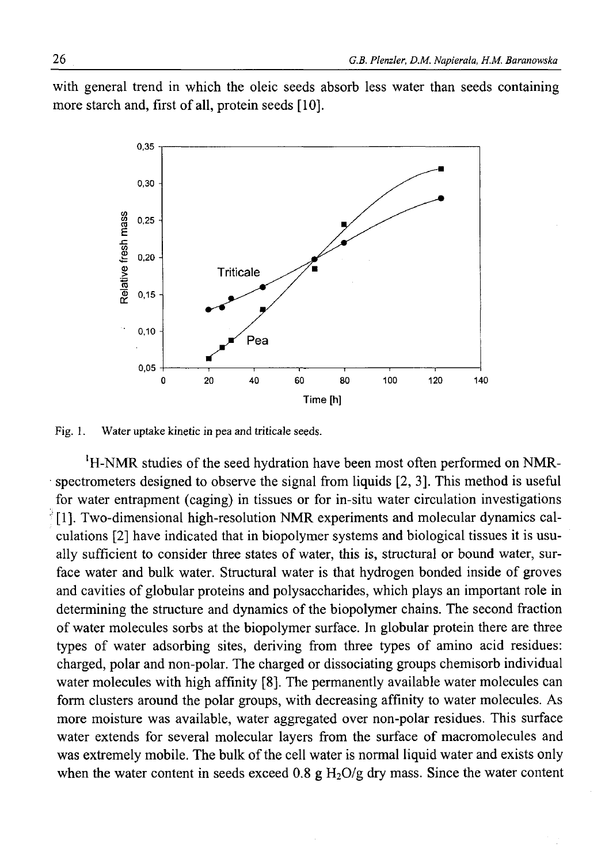with general trend in which the oleic seeds absorb less water than seeds containing more starch and, first of all, protein seeds [10].



Fig. 1. Water uptake kinetic in pea and triticale seeds.

'H-NMR studies of the seed hydration have been most often performed on NMRspectrometers designed to observe the signal from liquids [2, 3]. This method is useful for water entrapment (caging) in tissues or for in-situ water circulation investigations [1]. Two-dimensional high-resolution NMR experiments and molecular dynamics calculations [2] have indicated that in biopolymer systems and biological tissues it is usually sufficient to consider three states of water, this is, structural or bound water, surface water and bulk water. Structural water is that hydrogen bonded inside of groves and cavities of globular proteins and polysaccharides, which plays an important role in determining the structure and dynamics of the biopolymer chains. The second fraction of water molecules sorbs at the biopolymer surface. In globular protein there are three types of water adsorbing sites, deriving from three types of amino acid residues: charged, polar and non-polar. The charged or dissociating groups chemisorb individual water molecules with high affinity [8]. The permanently available water molecules can form clusters around the polar groups, with decreasing affinity to water molecules. As more moisture was available, water aggregated over non-polar residues. This surface water extends for several molecular layers from the surface of macromolecules and was extremely mobile. The bulk of the cell water is normal liquid water and exists only when the water content in seeds exceed 0.8 g  $H_2O/g$  dry mass. Since the water content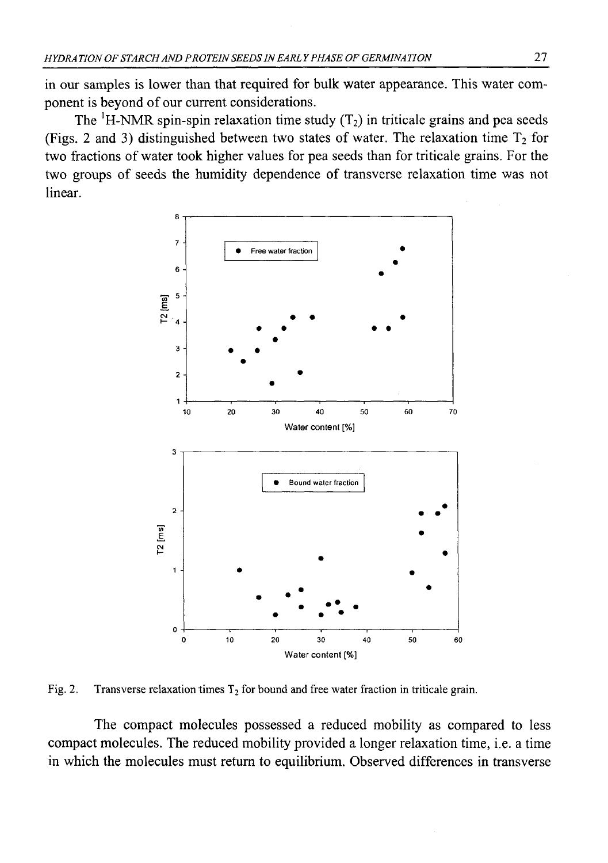in our samples is lower than that required for bulk water appearance. This water component is beyond of our current considerations.

The  ${}^{1}$ H-NMR spin-spin relaxation time study (T<sub>2</sub>) in triticale grains and pea seeds (Figs. 2 and 3) distinguished between two states of water. The relaxation time  $T_2$  for two fractions of water took higher values for pea seeds than for triticale grains. For the two groups of seeds the humidity dependence of transverse relaxation time was not linear.



Fig. 2. Transverse relaxation times  $T_2$  for bound and free water fraction in triticale grain.

The compact molecules possessed a reduced mobility as compared to less compact molecules. The reduced mobility provided a longer relaxation time, i.e. a time in which the molecules must return to equilibrium. Observed differences in transverse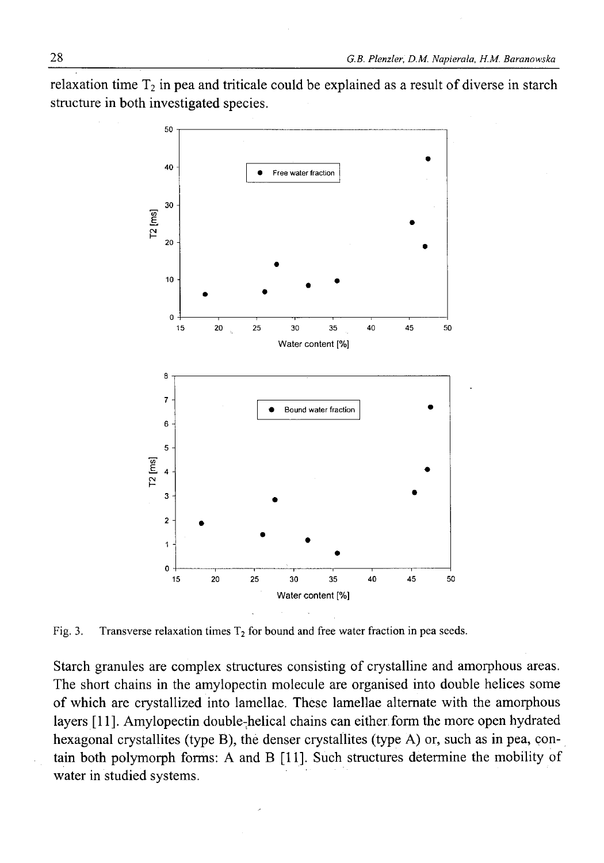relaxation time  $T_2$  in pea and triticale could be explained as a result of diverse in starch structure in both investigated species.



Fig. 3. Transverse relaxation times  $T_2$  for bound and free water fraction in pea seeds.

Starch granules are complex structures consisting of crystalline and amorphous areas. The short chains in the amylopectin molecule are organised into double helices some of which are crystallized into lamellae. These lamellae alternate with the amorphous layers [11]. Amylopectin double-helical chains can either,form the more open hydrated hexagonal crystallites (type B), the denser crystallites (type A) or, such as in pea, contain both polymorph forms: A and B [11]. Such structures determine the mobility of water in studied systems.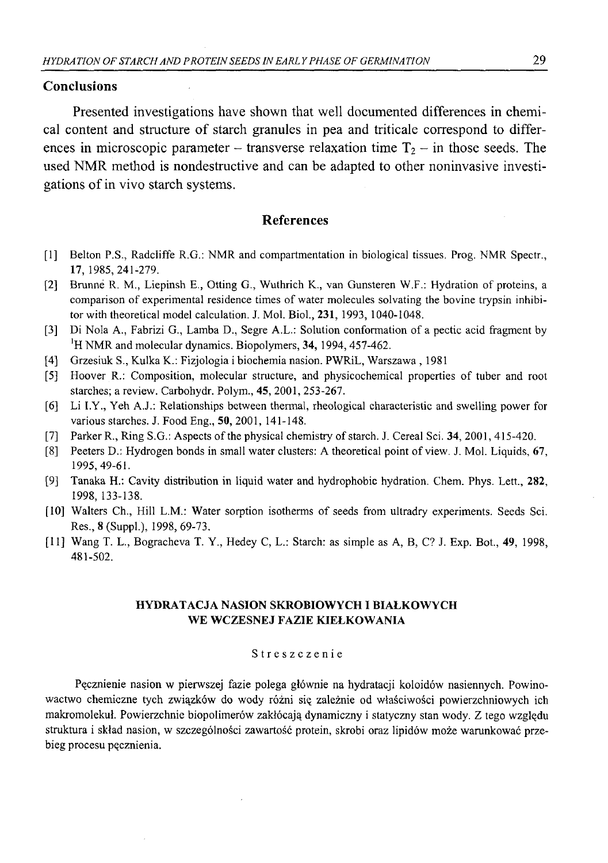## **Conclusions**

Presented investigations have shown that well documented differences in chemical content and structure of starch granules in pea and triticale correspond to differences in microscopic parameter – transverse relaxation time  $T_2$  – in those seeds. The used NMR method is nondestructive and can be adapted to other noninvasive investigations of in vivo starch systems.

#### **References**

- [1] Belton P.S., Radcliffe R.G.: NMR and compartmentation in biological tissues. Prog. NMR Spectr., **17,** 1985,241-279.
- [2] Brunne R. M., Liepinsh E., Otting G., Wuthrich K., van Gunsteren W.F.: Hydration of proteins, a comparison of experimental residence times of water molecules solvating the bovine trypsin inhibitor with theoretical model calculation. J. Mol. Biol., **231,** 1993, 1040-1048.
- [3] Di Nola A., Fabrizi G., Lamba D., Segre A.L.: Solution conformation of a pectic acid fragment by <sup>1</sup>H NMR and molecular dynamics. Biopolymers, 34, 1994, 457-462.
- [4] Grzesiuk S., Kulka K.: Fizjologia i biochemia nasion. PWRiL, Warszawa , 1981
- [5] Hoover R.: Composition, molecular structure, and physicochemical properties of tuber and root starches; a review. Carbohydr. Polym., 45, 2001, 253-267.
- [6] Li I.Y., Yeh A.J.: Relationships between thermal, rheological characteristic and swelling power for various starches. J. Food Eng., **50,** 2001, 141-148.
- [7] Parker R., Ring S.G.: Aspects of the physical chemistry of starch. J. Cereal Sci. 34, 2001, 415-420.
- [8] Peeters D.: Hydrogen bonds in small water clusters: A theoretical point of view. J. Mol. Liquids, 67, 1995, 49-61.
- [9] Tanaka H.: Cavity distribution in liquid water and hydrophobic hydration. Chem. Phys. Lett., **282,** 1998, 133-138.
- [10] Walters Ch., Hill L.M.: Water sorption isotherms of seeds from ultradry experiments. Seeds Sci. Res., 8 (Suppl.), 1998, 69-73.
- [11] Wang T. L., Bogracheva T. Y., Hedey C, L.: Starch: as simple as A, B, C? J. Exp. Bot., **49,** 1998, 481-502.

## HYDRATACJA NASION SKROBIOWYCH I BIAŁKOWYCH WE WCZESNEJ FAZIE KIEŁKOWANIA

#### Streszczenie

Pęcznienie nasion w pierwszej fazie polega głównie na hydratacji koloidów nasiennych. Powinowactwo chemiczne tych związków do wody różni się zależnie od właściwości powierzchniowych ich makromolekuł. Powierzchnie biopolimerów zakłócają dynamiczny i statyczny stan wody. Z tego względu struktura i skład nasion, w szczególności zawartość protein, skrobi oraz lipidów może warunkować przebieg procesu pęcznienia.